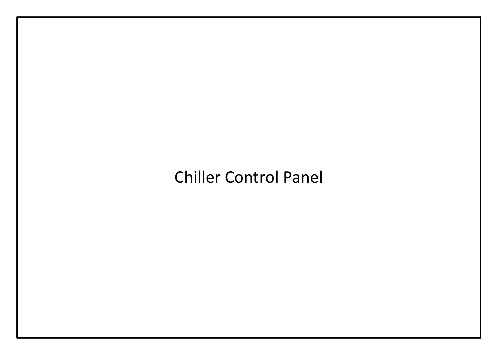## Chiller Control Panel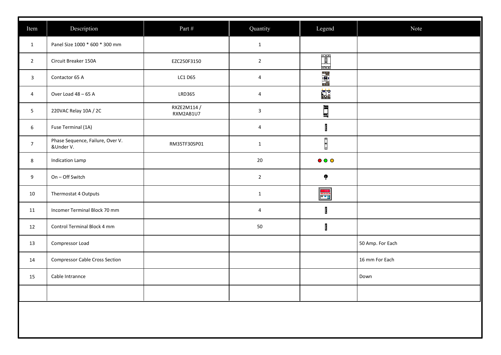| Item                           | Description<br>Panel Size 1000 * 600 * 300 mm          | Part #        | Quantity                        | Legend                         | Note             |
|--------------------------------|--------------------------------------------------------|---------------|---------------------------------|--------------------------------|------------------|
| $\mathbf{1}$<br>$\overline{2}$ | Circuit Breaker 150A                                   | EZC250F3150   | $\mathbf{1}$<br>$2\overline{ }$ |                                |                  |
| $\overline{\mathbf{3}}$        | Contactor 65 A                                         | LC1 D65       | $\overline{4}$                  | 116                            |                  |
|                                | Over Load 48 - 65 A                                    | <b>LRD365</b> | $\overline{4}$                  | <b>EE</b><br><b>LL</b><br>8888 |                  |
| $\overline{4}$                 |                                                        | RXZE2M114 /   |                                 |                                |                  |
| 5 <sub>5</sub>                 | 220VAC Relay 10A / 2C                                  | RXM2AB1U7     | $\mathbf{3}$                    | $\blacksquare$                 |                  |
| $6\overline{6}$                | Fuse Terminal (1A)<br>Phase Sequence, Failure, Over V. |               | $\overline{4}$                  | $\mathbf{I}$                   |                  |
| $\overline{7}$                 | &Under V.                                              | RM35TF30SP01  | $\mathbf{1}$                    | $\Box$                         |                  |
| 8                              | <b>Indication Lamp</b>                                 |               | 20                              | $\bullet$ $\circ$ $\circ$      |                  |
| 9                              | On - Off Switch                                        |               | $2^{\circ}$                     | $\pmb{\P}$                     |                  |
| 10                             | Thermostat 4 Outputs                                   |               | $\mathbf{1}$                    |                                |                  |
| 11                             | Incomer Terminal Block 70 mm                           |               | $\overline{4}$                  | H                              |                  |
| 12                             | Control Terminal Block 4 mm                            |               | 50                              | $\mathbf{r}$                   |                  |
| 13                             | Compressor Load                                        |               |                                 |                                | 50 Amp. For Each |
| 14                             | <b>Compressor Cable Cross Section</b>                  |               |                                 |                                | 16 mm For Each   |
| 15                             | Cable Intrannce                                        |               |                                 |                                | Down             |
|                                |                                                        |               |                                 |                                |                  |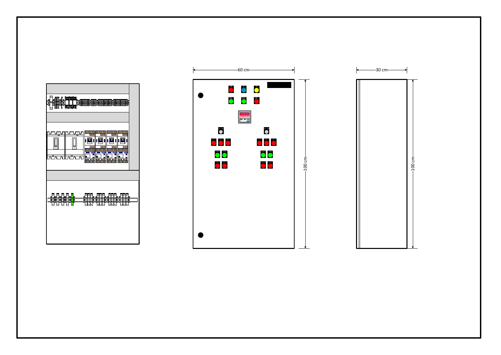



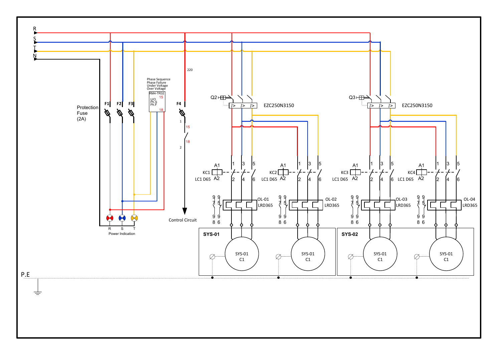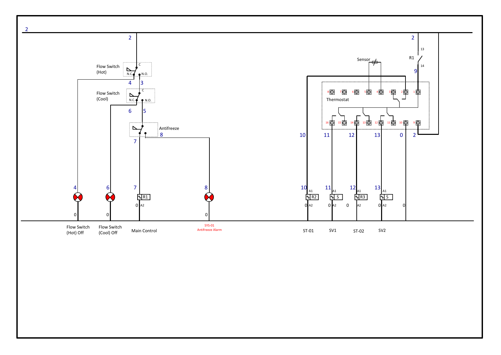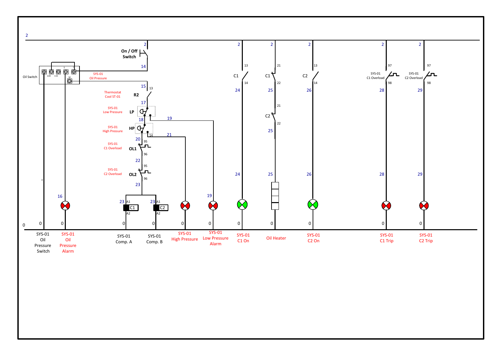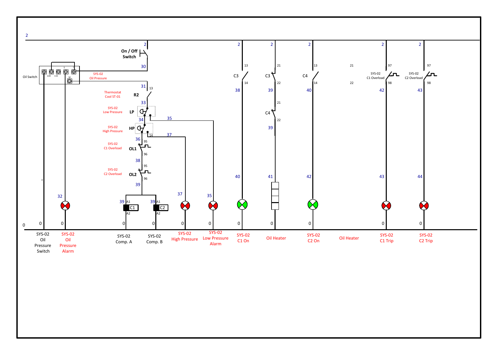